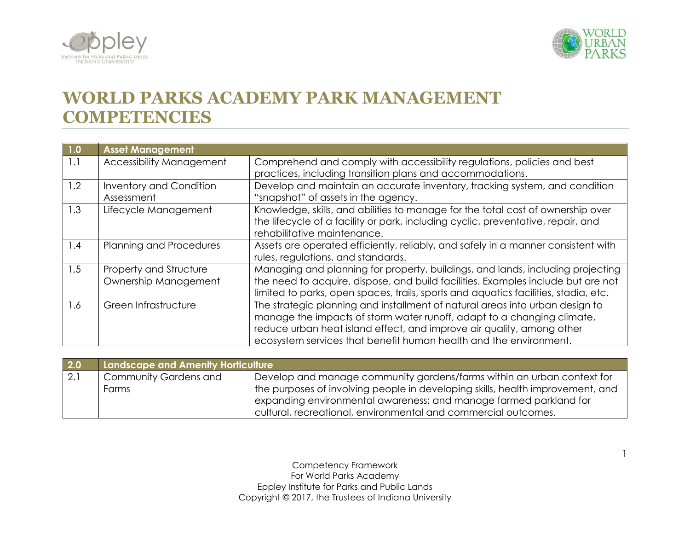



1

## **WORLD PARKS ACADEMY PARK MANAGEMENT COMPETENCIES**

| 1.0 | <b>Asset Management</b>                        |                                                                                                                                                                                                                                                                                                      |
|-----|------------------------------------------------|------------------------------------------------------------------------------------------------------------------------------------------------------------------------------------------------------------------------------------------------------------------------------------------------------|
| 1.1 | <b>Accessibility Management</b>                | Comprehend and comply with accessibility regulations, policies and best<br>practices, including transition plans and accommodations.                                                                                                                                                                 |
| 1.2 | Inventory and Condition<br>Assessment          | Develop and maintain an accurate inventory, tracking system, and condition<br>"snapshot" of assets in the agency.                                                                                                                                                                                    |
| 1.3 | Lifecycle Management                           | Knowledge, skills, and abilities to manage for the total cost of ownership over<br>the lifecycle of a facility or park, including cyclic, preventative, repair, and<br>rehabilitative maintenance.                                                                                                   |
| 1.4 | Planning and Procedures                        | Assets are operated efficiently, reliably, and safely in a manner consistent with<br>rules, regulations, and standards.                                                                                                                                                                              |
| 1.5 | Property and Structure<br>Ownership Management | Managing and planning for property, buildings, and lands, including projecting<br>the need to acquire, dispose, and build facilities. Examples include but are not<br>limited to parks, open spaces, trails, sports and aquatics facilities, stadia, etc.                                            |
| 1.6 | Green Infrastructure                           | The strategic planning and installment of natural areas into urban design to<br>manage the impacts of storm water runoff, adapt to a changing climate,<br>reduce urban heat island effect, and improve air quality, among other<br>ecosystem services that benefit human health and the environment. |

| 2.0 | Landscape and Amenity Horticulture |                                                                                |
|-----|------------------------------------|--------------------------------------------------------------------------------|
| 2.1 | <b>Community Gardens and</b>       | Develop and manage community gardens/farms within an urban context for         |
|     | Farms                              | the purposes of involving people in developing skills, health improvement, and |
|     |                                    | expanding environmental awareness; and manage farmed parkland for              |
|     |                                    | cultural, recreational, environmental and commercial outcomes.                 |

Competency Framework For World Parks Academy Eppley Institute for Parks and Public Lands Copyright © 2017, the Trustees of Indiana University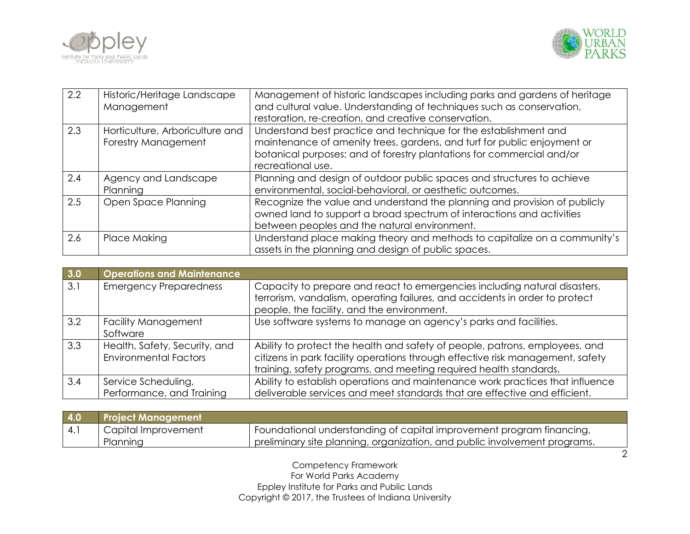



| 2.2 | Historic/Heritage Landscape<br>Management              | Management of historic landscapes including parks and gardens of heritage<br>and cultural value. Understanding of techniques such as conservation,<br>restoration, re-creation, and creative conservation.                                |
|-----|--------------------------------------------------------|-------------------------------------------------------------------------------------------------------------------------------------------------------------------------------------------------------------------------------------------|
| 2.3 | Horticulture, Arboriculture and<br>Forestry Management | Understand best practice and technique for the establishment and<br>maintenance of amenity trees, gardens, and turf for public enjoyment or<br>botanical purposes; and of forestry plantations for commercial and/or<br>recreational use. |
| 2.4 | Agency and Landscape<br>Planning                       | Planning and design of outdoor public spaces and structures to achieve<br>environmental, social-behavioral, or aesthetic outcomes.                                                                                                        |
| 2.5 | Open Space Planning                                    | Recognize the value and understand the planning and provision of publicly<br>owned land to support a broad spectrum of interactions and activities<br>between peoples and the natural environment.                                        |
| 2.6 | Place Making                                           | Understand place making theory and methods to capitalize on a community's<br>assets in the planning and design of public spaces.                                                                                                          |

| 3.0 | <b>Operations and Maintenance</b>                             |                                                                                                                                                                                                                                    |
|-----|---------------------------------------------------------------|------------------------------------------------------------------------------------------------------------------------------------------------------------------------------------------------------------------------------------|
| 3.1 | <b>Emergency Preparedness</b>                                 | Capacity to prepare and react to emergencies including natural disasters,<br>terrorism, vandalism, operating failures, and accidents in order to protect<br>people, the facility, and the environment.                             |
| 3.2 | <b>Facility Management</b><br>Software                        | Use software systems to manage an agency's parks and facilities.                                                                                                                                                                   |
| 3.3 | Health, Safety, Security, and<br><b>Environmental Factors</b> | Ability to protect the health and safety of people, patrons, employees, and<br>citizens in park facility operations through effective risk management, safety<br>training, safety programs, and meeting required health standards. |
| 3.4 | Service Scheduling,<br>Performance, and Training              | Ability to establish operations and maintenance work practices that influence<br>deliverable services and meet standards that are effective and efficient.                                                                         |

| 4.0   | <b>Project Management</b> |                                                                           |
|-------|---------------------------|---------------------------------------------------------------------------|
| l 4.1 | Capital Improvement       | Foundational understanding of capital improvement program financing,      |
|       | Planning                  | preliminary site planning, organization, and public involvement programs. |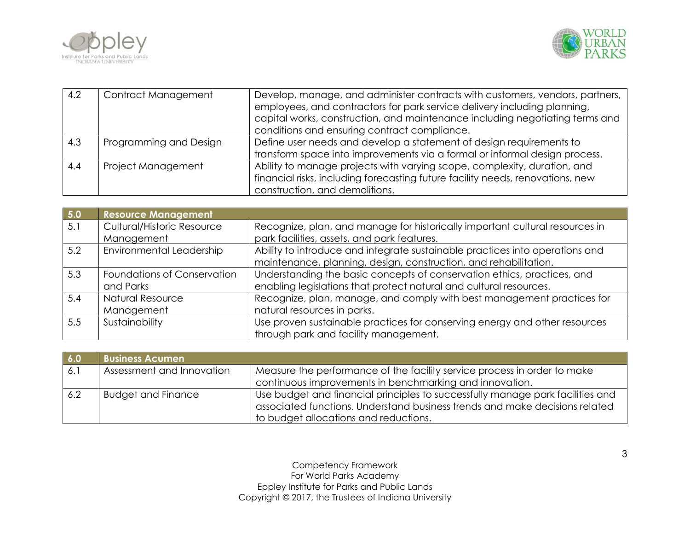



| 4.2 | Contract Management    | Develop, manage, and administer contracts with customers, vendors, partners,<br>employees, and contractors for park service delivery including planning,<br>capital works, construction, and maintenance including negotiating terms and<br>conditions and ensuring contract compliance. |
|-----|------------------------|------------------------------------------------------------------------------------------------------------------------------------------------------------------------------------------------------------------------------------------------------------------------------------------|
| 4.3 | Programming and Design | Define user needs and develop a statement of design requirements to<br>transform space into improvements via a formal or informal design process.                                                                                                                                        |
| 4.4 | Project Management     | Ability to manage projects with varying scope, complexity, duration, and<br>financial risks, including forecasting future facility needs, renovations, new<br>construction, and demolitions.                                                                                             |

| 5.0 | <b>Resource Management</b>        |                                                                              |
|-----|-----------------------------------|------------------------------------------------------------------------------|
| 5.1 | <b>Cultural/Historic Resource</b> | Recognize, plan, and manage for historically important cultural resources in |
|     | Management                        | park facilities, assets, and park features.                                  |
| 5.2 | Environmental Leadership          | Ability to introduce and integrate sustainable practices into operations and |
|     |                                   | maintenance, planning, design, construction, and rehabilitation.             |
| 5.3 | Foundations of Conservation       | Understanding the basic concepts of conservation ethics, practices, and      |
|     | and Parks                         | enabling legislations that protect natural and cultural resources.           |
| 5.4 | <b>Natural Resource</b>           | Recognize, plan, manage, and comply with best management practices for       |
|     | Management                        | natural resources in parks.                                                  |
| 5.5 | Sustainability                    | Use proven sustainable practices for conserving energy and other resources   |
|     |                                   | through park and facility management.                                        |

| 6.0  | <b>Business Acumen</b>    |                                                                                                                                                               |
|------|---------------------------|---------------------------------------------------------------------------------------------------------------------------------------------------------------|
| 16.1 | Assessment and Innovation | Measure the performance of the facility service process in order to make                                                                                      |
|      |                           | continuous improvements in benchmarking and innovation.                                                                                                       |
| 6.2  | <b>Budget and Finance</b> | Use budget and financial principles to successfully manage park facilities and<br>associated functions. Understand business trends and make decisions related |
|      |                           | to budget allocations and reductions.                                                                                                                         |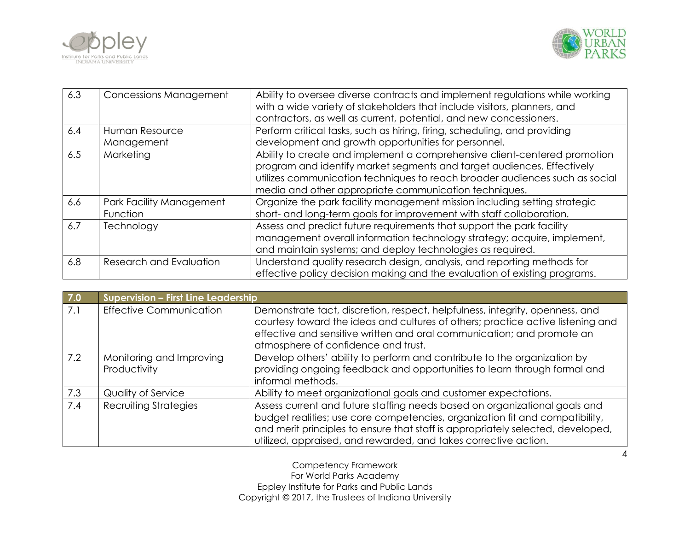



| 6.3 | Concessions Management               | Ability to oversee diverse contracts and implement regulations while working<br>with a wide variety of stakeholders that include visitors, planners, and<br>contractors, as well as current, potential, and new concessioners.                                                              |
|-----|--------------------------------------|---------------------------------------------------------------------------------------------------------------------------------------------------------------------------------------------------------------------------------------------------------------------------------------------|
| 6.4 | Human Resource<br>Management         | Perform critical tasks, such as hiring, firing, scheduling, and providing<br>development and growth opportunities for personnel.                                                                                                                                                            |
| 6.5 | Marketing                            | Ability to create and implement a comprehensive client-centered promotion<br>program and identify market segments and target audiences. Effectively<br>utilizes communication techniques to reach broader audiences such as social<br>media and other appropriate communication techniques. |
| 6.6 | Park Facility Management<br>Function | Organize the park facility management mission including setting strategic<br>short- and long-term goals for improvement with staff collaboration.                                                                                                                                           |
| 6.7 | Technology                           | Assess and predict future requirements that support the park facility<br>management overall information technology strategy; acquire, implement,<br>and maintain systems; and deploy technologies as required.                                                                              |
| 6.8 | Research and Evaluation              | Understand quality research design, analysis, and reporting methods for<br>effective policy decision making and the evaluation of existing programs.                                                                                                                                        |

| 7.0 | Supervision - First Line Leadership      |                                                                                                                                                                                                                                                                                                                  |
|-----|------------------------------------------|------------------------------------------------------------------------------------------------------------------------------------------------------------------------------------------------------------------------------------------------------------------------------------------------------------------|
| 7.1 | <b>Effective Communication</b>           | Demonstrate tact, discretion, respect, helpfulness, integrity, openness, and<br>courtesy toward the ideas and cultures of others; practice active listening and<br>effective and sensitive written and oral communication; and promote an<br>atmosphere of confidence and trust.                                 |
| 7.2 | Monitoring and Improving<br>Productivity | Develop others' ability to perform and contribute to the organization by<br>providing ongoing feedback and opportunities to learn through formal and<br>informal methods.                                                                                                                                        |
| 7.3 | Quality of Service                       | Ability to meet organizational goals and customer expectations.                                                                                                                                                                                                                                                  |
| 7.4 | <b>Recruiting Strategies</b>             | Assess current and future staffing needs based on organizational goals and<br>budget realities; use core competencies, organization fit and compatibility,<br>and merit principles to ensure that staff is appropriately selected, developed,<br>utilized, appraised, and rewarded, and takes corrective action. |

4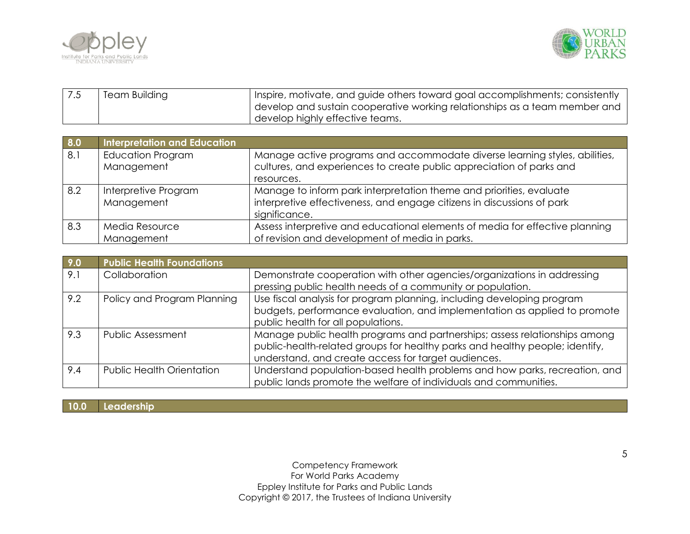



| <b>Team Building</b> | Inspire, motivate, and guide others toward goal accomplishments; consistently |
|----------------------|-------------------------------------------------------------------------------|
|                      | develop and sustain cooperative working relationships as a team member and    |
|                      | develop highly effective teams.                                               |

| 8.0 | <b>Interpretation and Education</b> |                                                                              |
|-----|-------------------------------------|------------------------------------------------------------------------------|
| 8.1 | <b>Education Program</b>            | Manage active programs and accommodate diverse learning styles, abilities,   |
|     | Management                          | cultures, and experiences to create public appreciation of parks and         |
|     |                                     | resources.                                                                   |
| 8.2 | Interpretive Program                | Manage to inform park interpretation theme and priorities, evaluate          |
|     | Management                          | interpretive effectiveness, and engage citizens in discussions of park       |
|     |                                     | significance.                                                                |
| 8.3 | Media Resource                      | Assess interpretive and educational elements of media for effective planning |
|     | Management                          | of revision and development of media in parks.                               |

| 9.0 | <b>Public Health Foundations</b> |                                                                              |
|-----|----------------------------------|------------------------------------------------------------------------------|
| 9.1 | Collaboration                    | Demonstrate cooperation with other agencies/organizations in addressing      |
|     |                                  | pressing public health needs of a community or population.                   |
| 9.2 | Policy and Program Planning      | Use fiscal analysis for program planning, including developing program       |
|     |                                  | budgets, performance evaluation, and implementation as applied to promote    |
|     |                                  | public health for all populations.                                           |
| 9.3 | <b>Public Assessment</b>         | Manage public health programs and partnerships; assess relationships among   |
|     |                                  | public-health-related groups for healthy parks and healthy people; identify, |
|     |                                  | understand, and create access for target audiences.                          |
| 9.4 | <b>Public Health Orientation</b> | Understand population-based health problems and how parks, recreation, and   |
|     |                                  | public lands promote the welfare of individuals and communities.             |

**10.0 Leadership**

Competency Framework For World Parks Academy Eppley Institute for Parks and Public Lands Copyright © 2017, the Trustees of Indiana University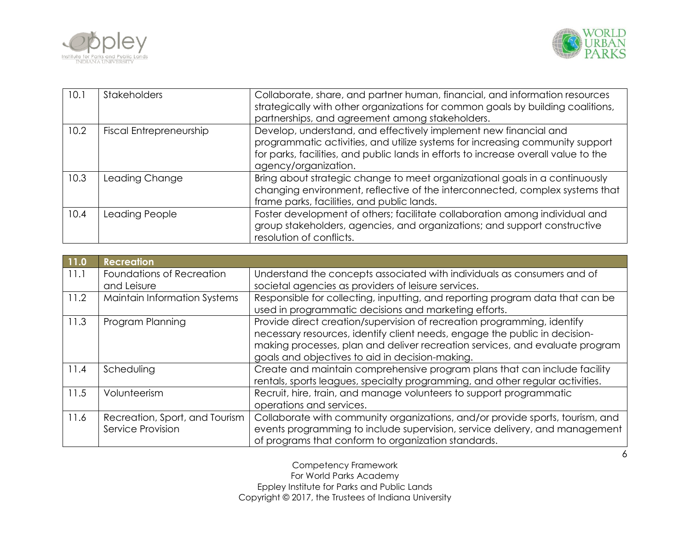



| 10.1 | <b>Stakeholders</b>            | Collaborate, share, and partner human, financial, and information resources<br>strategically with other organizations for common goals by building coalitions,<br>partnerships, and agreement among stakeholders.                                                |
|------|--------------------------------|------------------------------------------------------------------------------------------------------------------------------------------------------------------------------------------------------------------------------------------------------------------|
| 10.2 | <b>Fiscal Entrepreneurship</b> | Develop, understand, and effectively implement new financial and<br>programmatic activities, and utilize systems for increasing community support<br>for parks, facilities, and public lands in efforts to increase overall value to the<br>agency/organization. |
| 10.3 | Leading Change                 | Bring about strategic change to meet organizational goals in a continuously<br>changing environment, reflective of the interconnected, complex systems that<br>frame parks, facilities, and public lands.                                                        |
| 10.4 | Leading People                 | Foster development of others; facilitate collaboration among individual and<br>group stakeholders, agencies, and organizations; and support constructive<br>resolution of conflicts.                                                                             |

| 11.0 | <b>Recreation</b>                   |                                                                               |
|------|-------------------------------------|-------------------------------------------------------------------------------|
| 11.1 | Foundations of Recreation           | Understand the concepts associated with individuals as consumers and of       |
|      | and Leisure                         | societal agencies as providers of leisure services.                           |
| 11.2 | <b>Maintain Information Systems</b> | Responsible for collecting, inputting, and reporting program data that can be |
|      |                                     | used in programmatic decisions and marketing efforts.                         |
| 11.3 | Program Planning                    | Provide direct creation/supervision of recreation programming, identify       |
|      |                                     | necessary resources, identify client needs, engage the public in decision-    |
|      |                                     | making processes, plan and deliver recreation services, and evaluate program  |
|      |                                     | goals and objectives to aid in decision-making.                               |
| 11.4 | Scheduling                          | Create and maintain comprehensive program plans that can include facility     |
|      |                                     | rentals, sports leagues, specialty programming, and other regular activities. |
| 11.5 | Volunteerism                        | Recruit, hire, train, and manage volunteers to support programmatic           |
|      |                                     | operations and services.                                                      |
| 11.6 | Recreation, Sport, and Tourism      | Collaborate with community organizations, and/or provide sports, tourism, and |
|      | Service Provision                   | events programming to include supervision, service delivery, and management   |
|      |                                     | of programs that conform to organization standards.                           |